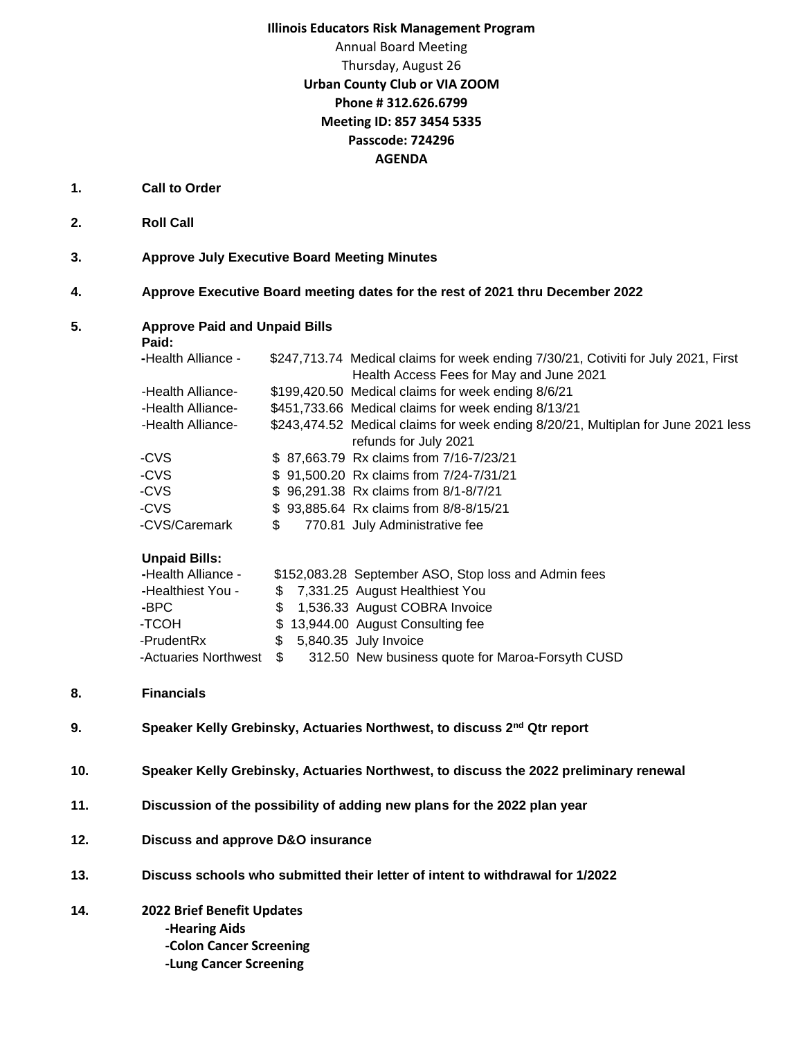## **Illinois Educators Risk Management Program**

## Annual Board Meeting Thursday, August 26 **Urban County Club or VIA ZOOM Phone # 312.626.6799 Meeting ID: 857 3454 5335 Passcode: 724296 AGENDA**

- **1. Call to Order**
- **2. Roll Call**
- **3. Approve July Executive Board Meeting Minutes**
- **4. Approve Executive Board meeting dates for the rest of 2021 thru December 2022**

| Paid:                |                                                             |                                                                                                                                |  |  |  |
|----------------------|-------------------------------------------------------------|--------------------------------------------------------------------------------------------------------------------------------|--|--|--|
| -Health Alliance -   |                                                             | \$247,713.74 Medical claims for week ending 7/30/21, Cotiviti for July 2021, First<br>Health Access Fees for May and June 2021 |  |  |  |
|                      |                                                             | \$199,420.50 Medical claims for week ending 8/6/21                                                                             |  |  |  |
|                      |                                                             | \$451,733.66 Medical claims for week ending 8/13/21                                                                            |  |  |  |
|                      |                                                             | \$243,474.52 Medical claims for week ending 8/20/21, Multiplan for June 2021 less                                              |  |  |  |
|                      |                                                             | refunds for July 2021                                                                                                          |  |  |  |
| -CVS                 |                                                             | \$87,663.79 Rx claims from 7/16-7/23/21                                                                                        |  |  |  |
| -CVS                 |                                                             | \$91,500.20 Rx claims from 7/24-7/31/21                                                                                        |  |  |  |
| -CVS                 |                                                             | \$96,291.38 Rx claims from 8/1-8/7/21                                                                                          |  |  |  |
| -CVS                 |                                                             | \$93,885.64 Rx claims from 8/8-8/15/21                                                                                         |  |  |  |
| -CVS/Caremark        | \$                                                          | 770.81 July Administrative fee                                                                                                 |  |  |  |
| <b>Unpaid Bills:</b> |                                                             |                                                                                                                                |  |  |  |
| -Health Alliance -   |                                                             | \$152,083.28 September ASO, Stop loss and Admin fees                                                                           |  |  |  |
| -Healthiest You -    |                                                             | \$7,331.25 August Healthiest You                                                                                               |  |  |  |
|                      | -Health Alliance-<br>-Health Alliance-<br>-Health Alliance- | <b>Approve Paid and Unpaid Bills</b>                                                                                           |  |  |  |

| - Healthest You-        |  | <b>J</b> 7,331.25 August Healthlest rou          |
|-------------------------|--|--------------------------------------------------|
| -BPC.                   |  | \$ 1,536.33 August COBRA Invoice                 |
| -TCOH                   |  | \$13,944.00 August Consulting fee                |
| -PrudentRx              |  | \$ 5,840.35 July Invoice                         |
| -Actuaries Northwest \$ |  | 312.50 New business quote for Maroa-Forsyth CUSD |

- **8. Financials**
- **9. Speaker Kelly Grebinsky, Actuaries Northwest, to discuss 2nd Qtr report**
- **10. Speaker Kelly Grebinsky, Actuaries Northwest, to discuss the 2022 preliminary renewal**
- **11. Discussion of the possibility of adding new plans for the 2022 plan year**
- **12. Discuss and approve D&O insurance**
- **13. Discuss schools who submitted their letter of intent to withdrawal for 1/2022**
- **14. 2022 Brief Benefit Updates -Hearing Aids -Colon Cancer Screening -Lung Cancer Screening**